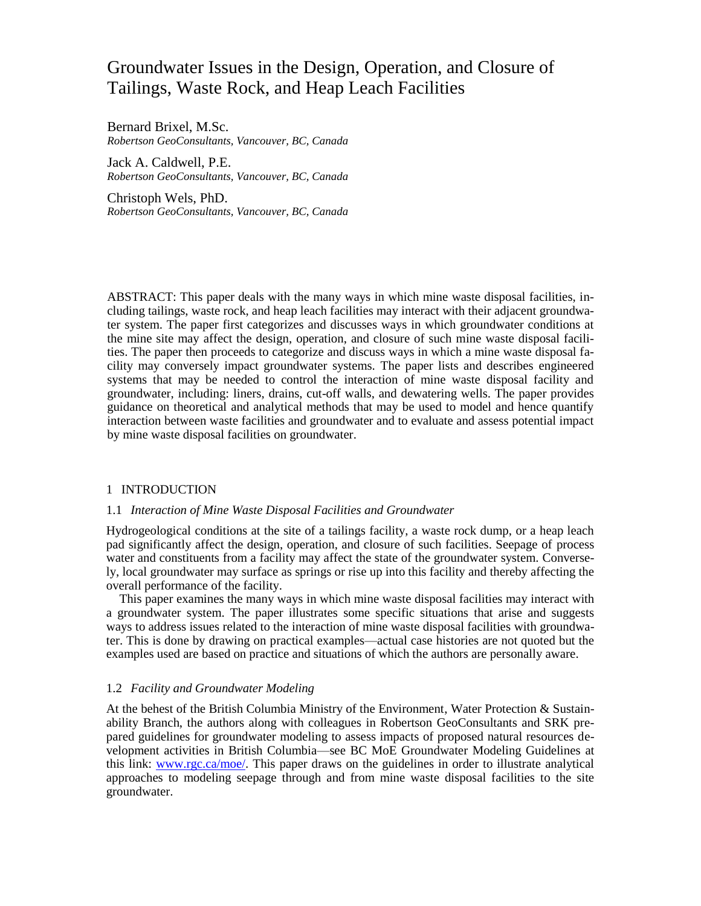# Groundwater Issues in the Design, Operation, and Closure of Tailings, Waste Rock, and Heap Leach Facilities

Bernard Brixel, M.Sc. *Robertson GeoConsultants, Vancouver, BC, Canada*

Jack A. Caldwell, P.E. *Robertson GeoConsultants, Vancouver, BC, Canada*

Christoph Wels, PhD. *Robertson GeoConsultants, Vancouver, BC, Canada*

ABSTRACT: This paper deals with the many ways in which mine waste disposal facilities, including tailings, waste rock, and heap leach facilities may interact with their adjacent groundwater system. The paper first categorizes and discusses ways in which groundwater conditions at the mine site may affect the design, operation, and closure of such mine waste disposal facilities. The paper then proceeds to categorize and discuss ways in which a mine waste disposal facility may conversely impact groundwater systems. The paper lists and describes engineered systems that may be needed to control the interaction of mine waste disposal facility and groundwater, including: liners, drains, cut-off walls, and dewatering wells. The paper provides guidance on theoretical and analytical methods that may be used to model and hence quantify interaction between waste facilities and groundwater and to evaluate and assess potential impact by mine waste disposal facilities on groundwater.

#### 1 INTRODUCTION

# 1.1 *Interaction of Mine Waste Disposal Facilities and Groundwater*

Hydrogeological conditions at the site of a tailings facility, a waste rock dump, or a heap leach pad significantly affect the design, operation, and closure of such facilities. Seepage of process water and constituents from a facility may affect the state of the groundwater system. Conversely, local groundwater may surface as springs or rise up into this facility and thereby affecting the overall performance of the facility.

This paper examines the many ways in which mine waste disposal facilities may interact with a groundwater system. The paper illustrates some specific situations that arise and suggests ways to address issues related to the interaction of mine waste disposal facilities with groundwater. This is done by drawing on practical examples—actual case histories are not quoted but the examples used are based on practice and situations of which the authors are personally aware.

# 1.2 *Facility and Groundwater Modeling*

At the behest of the British Columbia Ministry of the Environment, Water Protection & Sustainability Branch, the authors along with colleagues in Robertson GeoConsultants and SRK prepared guidelines for groundwater modeling to assess impacts of proposed natural resources development activities in British Columbia—see BC MoE Groundwater Modeling Guidelines at this link: [www.rgc.ca/moe/.](http://www.rgc.ca/moe/) This paper draws on the guidelines in order to illustrate analytical approaches to modeling seepage through and from mine waste disposal facilities to the site groundwater.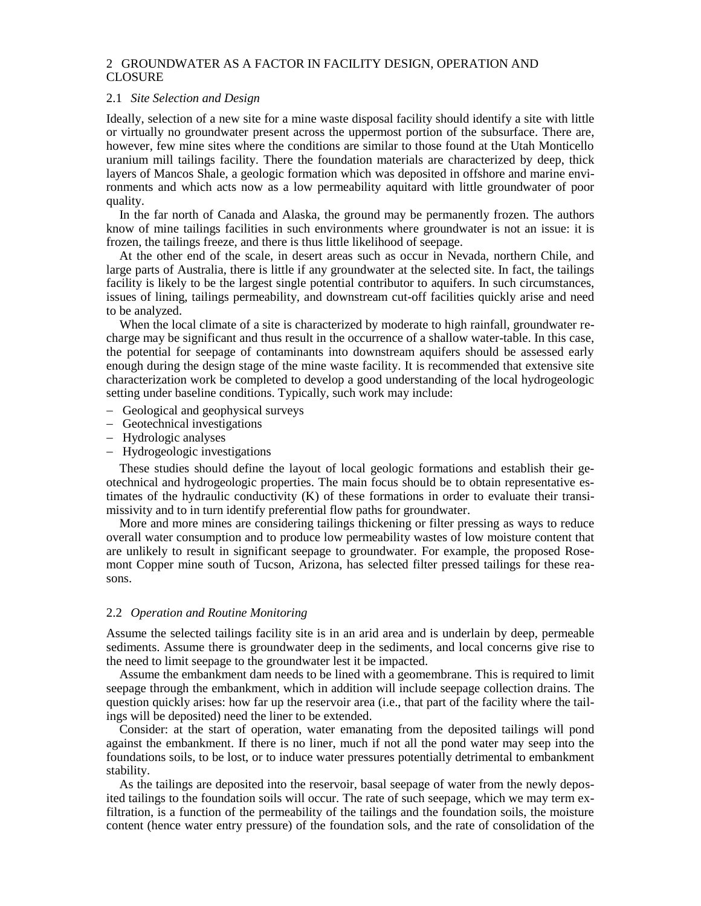# 2 GROUNDWATER AS A FACTOR IN FACILITY DESIGN, OPERATION AND **CLOSURE**

# 2.1 *Site Selection and Design*

Ideally, selection of a new site for a mine waste disposal facility should identify a site with little or virtually no groundwater present across the uppermost portion of the subsurface. There are, however, few mine sites where the conditions are similar to those found at the Utah Monticello uranium mill tailings facility. There the foundation materials are characterized by deep, thick layers of Mancos Shale, a geologic formation which was deposited in offshore and marine environments and which acts now as a low permeability aquitard with little groundwater of poor quality.

In the far north of Canada and Alaska, the ground may be permanently frozen. The authors know of mine tailings facilities in such environments where groundwater is not an issue: it is frozen, the tailings freeze, and there is thus little likelihood of seepage.

At the other end of the scale, in desert areas such as occur in Nevada, northern Chile, and large parts of Australia, there is little if any groundwater at the selected site. In fact, the tailings facility is likely to be the largest single potential contributor to aquifers. In such circumstances, issues of lining, tailings permeability, and downstream cut-off facilities quickly arise and need to be analyzed.

When the local climate of a site is characterized by moderate to high rainfall, groundwater recharge may be significant and thus result in the occurrence of a shallow water-table. In this case, the potential for seepage of contaminants into downstream aquifers should be assessed early enough during the design stage of the mine waste facility. It is recommended that extensive site characterization work be completed to develop a good understanding of the local hydrogeologic setting under baseline conditions. Typically, such work may include:

- Geological and geophysical surveys
- Geotechnical investigations
- Hydrologic analyses
- Hydrogeologic investigations

These studies should define the layout of local geologic formations and establish their geotechnical and hydrogeologic properties. The main focus should be to obtain representative estimates of the hydraulic conductivity (K) of these formations in order to evaluate their transimissivity and to in turn identify preferential flow paths for groundwater.

More and more mines are considering tailings thickening or filter pressing as ways to reduce overall water consumption and to produce low permeability wastes of low moisture content that are unlikely to result in significant seepage to groundwater. For example, the proposed Rosemont Copper mine south of Tucson, Arizona, has selected filter pressed tailings for these reasons.

#### 2.2 *Operation and Routine Monitoring*

Assume the selected tailings facility site is in an arid area and is underlain by deep, permeable sediments. Assume there is groundwater deep in the sediments, and local concerns give rise to the need to limit seepage to the groundwater lest it be impacted.

Assume the embankment dam needs to be lined with a geomembrane. This is required to limit seepage through the embankment, which in addition will include seepage collection drains. The question quickly arises: how far up the reservoir area (i.e., that part of the facility where the tailings will be deposited) need the liner to be extended.

Consider: at the start of operation, water emanating from the deposited tailings will pond against the embankment. If there is no liner, much if not all the pond water may seep into the foundations soils, to be lost, or to induce water pressures potentially detrimental to embankment stability.

As the tailings are deposited into the reservoir, basal seepage of water from the newly deposited tailings to the foundation soils will occur. The rate of such seepage, which we may term exfiltration, is a function of the permeability of the tailings and the foundation soils, the moisture content (hence water entry pressure) of the foundation sols, and the rate of consolidation of the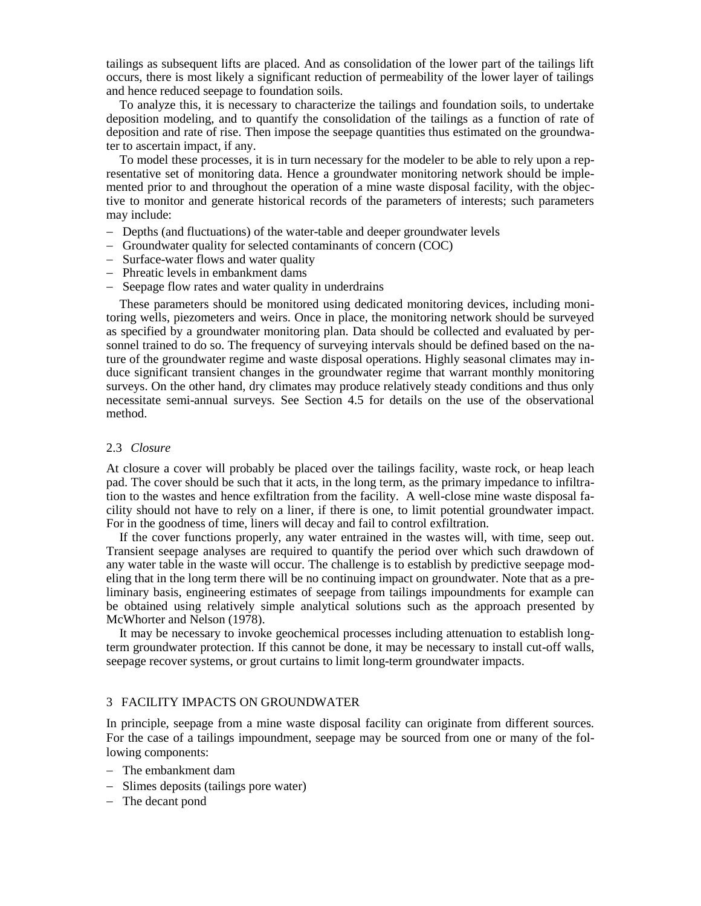tailings as subsequent lifts are placed. And as consolidation of the lower part of the tailings lift occurs, there is most likely a significant reduction of permeability of the lower layer of tailings and hence reduced seepage to foundation soils.

To analyze this, it is necessary to characterize the tailings and foundation soils, to undertake deposition modeling, and to quantify the consolidation of the tailings as a function of rate of deposition and rate of rise. Then impose the seepage quantities thus estimated on the groundwater to ascertain impact, if any.

To model these processes, it is in turn necessary for the modeler to be able to rely upon a representative set of monitoring data. Hence a groundwater monitoring network should be implemented prior to and throughout the operation of a mine waste disposal facility, with the objective to monitor and generate historical records of the parameters of interests; such parameters may include:

- Depths (and fluctuations) of the water-table and deeper groundwater levels
- Groundwater quality for selected contaminants of concern (COC)
- Surface-water flows and water quality
- Phreatic levels in embankment dams
- Seepage flow rates and water quality in underdrains

These parameters should be monitored using dedicated monitoring devices, including monitoring wells, piezometers and weirs. Once in place, the monitoring network should be surveyed as specified by a groundwater monitoring plan. Data should be collected and evaluated by personnel trained to do so. The frequency of surveying intervals should be defined based on the nature of the groundwater regime and waste disposal operations. Highly seasonal climates may induce significant transient changes in the groundwater regime that warrant monthly monitoring surveys. On the other hand, dry climates may produce relatively steady conditions and thus only necessitate semi-annual surveys. See Section 4.5 for details on the use of the observational method.

#### 2.3 *Closure*

At closure a cover will probably be placed over the tailings facility, waste rock, or heap leach pad. The cover should be such that it acts, in the long term, as the primary impedance to infiltration to the wastes and hence exfiltration from the facility. A well-close mine waste disposal facility should not have to rely on a liner, if there is one, to limit potential groundwater impact. For in the goodness of time, liners will decay and fail to control exfiltration.

If the cover functions properly, any water entrained in the wastes will, with time, seep out. Transient seepage analyses are required to quantify the period over which such drawdown of any water table in the waste will occur. The challenge is to establish by predictive seepage modeling that in the long term there will be no continuing impact on groundwater. Note that as a preliminary basis, engineering estimates of seepage from tailings impoundments for example can be obtained using relatively simple analytical solutions such as the approach presented by McWhorter and Nelson (1978).

It may be necessary to invoke geochemical processes including attenuation to establish longterm groundwater protection. If this cannot be done, it may be necessary to install cut-off walls, seepage recover systems, or grout curtains to limit long-term groundwater impacts.

#### 3 FACILITY IMPACTS ON GROUNDWATER

In principle, seepage from a mine waste disposal facility can originate from different sources. For the case of a tailings impoundment, seepage may be sourced from one or many of the following components:

- The embankment dam
- Slimes deposits (tailings pore water)
- The decant pond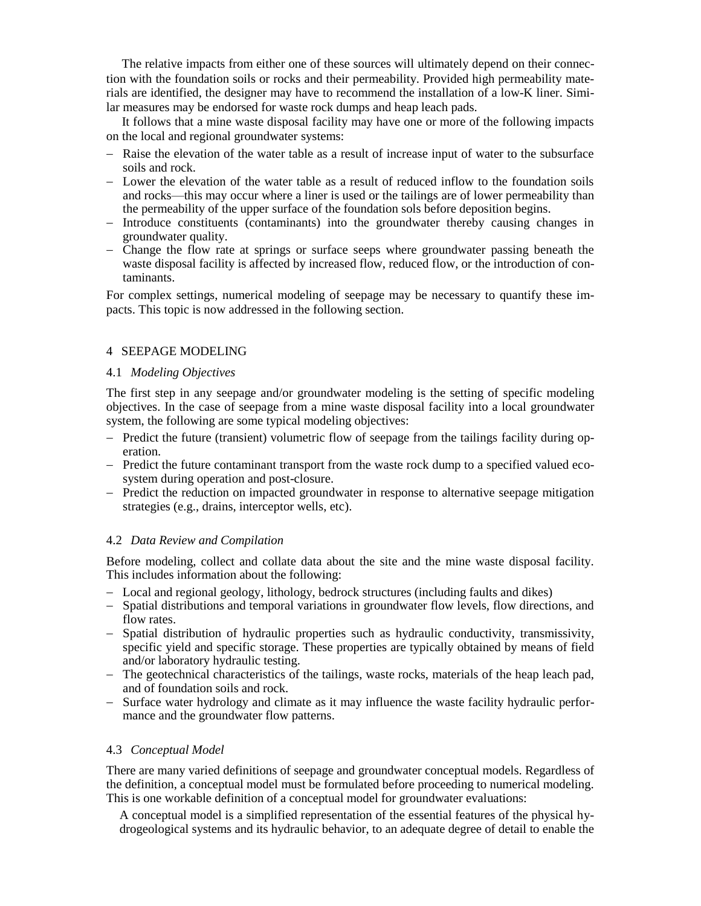The relative impacts from either one of these sources will ultimately depend on their connection with the foundation soils or rocks and their permeability. Provided high permeability materials are identified, the designer may have to recommend the installation of a low-K liner. Similar measures may be endorsed for waste rock dumps and heap leach pads.

It follows that a mine waste disposal facility may have one or more of the following impacts on the local and regional groundwater systems:

- Raise the elevation of the water table as a result of increase input of water to the subsurface soils and rock.
- Lower the elevation of the water table as a result of reduced inflow to the foundation soils and rocks—this may occur where a liner is used or the tailings are of lower permeability than the permeability of the upper surface of the foundation sols before deposition begins.
- Introduce constituents (contaminants) into the groundwater thereby causing changes in groundwater quality.
- Change the flow rate at springs or surface seeps where groundwater passing beneath the waste disposal facility is affected by increased flow, reduced flow, or the introduction of contaminants.

For complex settings, numerical modeling of seepage may be necessary to quantify these impacts. This topic is now addressed in the following section.

#### 4 SEEPAGE MODELING

#### 4.1 *Modeling Objectives*

The first step in any seepage and/or groundwater modeling is the setting of specific modeling objectives. In the case of seepage from a mine waste disposal facility into a local groundwater system, the following are some typical modeling objectives:

- Predict the future (transient) volumetric flow of seepage from the tailings facility during operation.
- Predict the future contaminant transport from the waste rock dump to a specified valued ecosystem during operation and post-closure.
- Predict the reduction on impacted groundwater in response to alternative seepage mitigation strategies (e.g., drains, interceptor wells, etc).

# 4.2 *Data Review and Compilation*

Before modeling, collect and collate data about the site and the mine waste disposal facility. This includes information about the following:

- Local and regional geology, lithology, bedrock structures (including faults and dikes)
- Spatial distributions and temporal variations in groundwater flow levels, flow directions, and flow rates.
- Spatial distribution of hydraulic properties such as hydraulic conductivity, transmissivity, specific yield and specific storage. These properties are typically obtained by means of field and/or laboratory hydraulic testing.
- The geotechnical characteristics of the tailings, waste rocks, materials of the heap leach pad, and of foundation soils and rock.
- Surface water hydrology and climate as it may influence the waste facility hydraulic performance and the groundwater flow patterns.

# 4.3 *Conceptual Model*

There are many varied definitions of seepage and groundwater conceptual models. Regardless of the definition, a conceptual model must be formulated before proceeding to numerical modeling. This is one workable definition of a conceptual model for groundwater evaluations:

A conceptual model is a simplified representation of the essential features of the physical hydrogeological systems and its hydraulic behavior, to an adequate degree of detail to enable the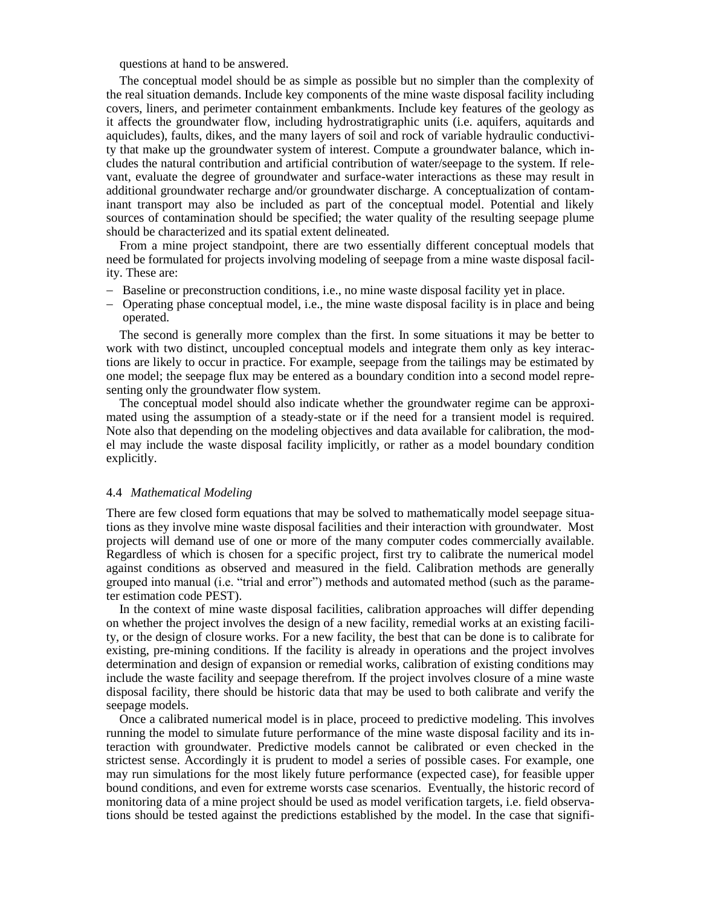questions at hand to be answered.

The conceptual model should be as simple as possible but no simpler than the complexity of the real situation demands. Include key components of the mine waste disposal facility including covers, liners, and perimeter containment embankments. Include key features of the geology as it affects the groundwater flow, including hydrostratigraphic units (i.e. aquifers, aquitards and aquicludes), faults, dikes, and the many layers of soil and rock of variable hydraulic conductivity that make up the groundwater system of interest. Compute a groundwater balance, which includes the natural contribution and artificial contribution of water/seepage to the system. If relevant, evaluate the degree of groundwater and surface-water interactions as these may result in additional groundwater recharge and/or groundwater discharge. A conceptualization of contaminant transport may also be included as part of the conceptual model. Potential and likely sources of contamination should be specified; the water quality of the resulting seepage plume should be characterized and its spatial extent delineated.

From a mine project standpoint, there are two essentially different conceptual models that need be formulated for projects involving modeling of seepage from a mine waste disposal facility. These are:

- Baseline or preconstruction conditions, i.e., no mine waste disposal facility yet in place.
- Operating phase conceptual model, i.e., the mine waste disposal facility is in place and being operated.

The second is generally more complex than the first. In some situations it may be better to work with two distinct, uncoupled conceptual models and integrate them only as key interactions are likely to occur in practice. For example, seepage from the tailings may be estimated by one model; the seepage flux may be entered as a boundary condition into a second model representing only the groundwater flow system.

The conceptual model should also indicate whether the groundwater regime can be approximated using the assumption of a steady-state or if the need for a transient model is required. Note also that depending on the modeling objectives and data available for calibration, the model may include the waste disposal facility implicitly, or rather as a model boundary condition explicitly.

#### 4.4 *Mathematical Modeling*

There are few closed form equations that may be solved to mathematically model seepage situations as they involve mine waste disposal facilities and their interaction with groundwater. Most projects will demand use of one or more of the many computer codes commercially available. Regardless of which is chosen for a specific project, first try to calibrate the numerical model against conditions as observed and measured in the field. Calibration methods are generally grouped into manual (i.e. "trial and error") methods and automated method (such as the parameter estimation code PEST).

In the context of mine waste disposal facilities, calibration approaches will differ depending on whether the project involves the design of a new facility, remedial works at an existing facility, or the design of closure works. For a new facility, the best that can be done is to calibrate for existing, pre-mining conditions. If the facility is already in operations and the project involves determination and design of expansion or remedial works, calibration of existing conditions may include the waste facility and seepage therefrom. If the project involves closure of a mine waste disposal facility, there should be historic data that may be used to both calibrate and verify the seepage models.

Once a calibrated numerical model is in place, proceed to predictive modeling. This involves running the model to simulate future performance of the mine waste disposal facility and its interaction with groundwater. Predictive models cannot be calibrated or even checked in the strictest sense. Accordingly it is prudent to model a series of possible cases. For example, one may run simulations for the most likely future performance (expected case), for feasible upper bound conditions, and even for extreme worsts case scenarios. Eventually, the historic record of monitoring data of a mine project should be used as model verification targets, i.e. field observations should be tested against the predictions established by the model. In the case that signifi-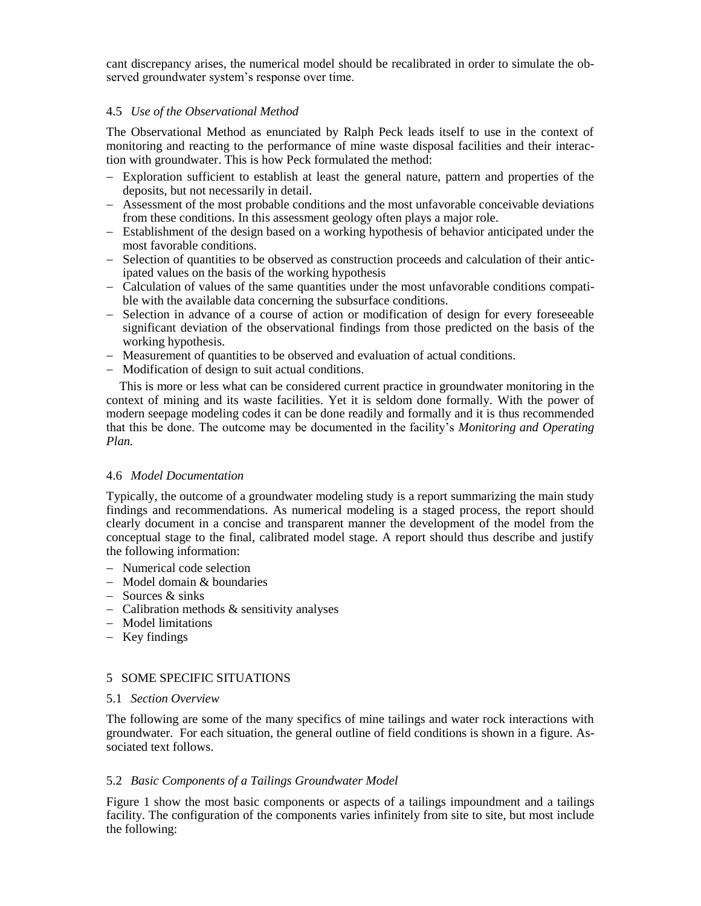cant discrepancy arises, the numerical model should be recalibrated in order to simulate the observed groundwater system's response over time.

# 4.5 *Use of the Observational Method*

The Observational Method as enunciated by Ralph Peck leads itself to use in the context of monitoring and reacting to the performance of mine waste disposal facilities and their interaction with groundwater. This is how Peck formulated the method:

- Exploration sufficient to establish at least the general nature, pattern and properties of the deposits, but not necessarily in detail.
- Assessment of the most probable conditions and the most unfavorable conceivable deviations from these conditions. In this assessment geology often plays a major role.
- Establishment of the design based on a working hypothesis of behavior anticipated under the most favorable conditions.
- Selection of quantities to be observed as construction proceeds and calculation of their anticipated values on the basis of the working hypothesis
- Calculation of values of the same quantities under the most unfavorable conditions compatible with the available data concerning the subsurface conditions.
- Selection in advance of a course of action or modification of design for every foreseeable significant deviation of the observational findings from those predicted on the basis of the working hypothesis.
- Measurement of quantities to be observed and evaluation of actual conditions.
- Modification of design to suit actual conditions.

This is more or less what can be considered current practice in groundwater monitoring in the context of mining and its waste facilities. Yet it is seldom done formally. With the power of modern seepage modeling codes it can be done readily and formally and it is thus recommended that this be done. The outcome may be documented in the facility's *Monitoring and Operating Plan.*

# 4.6 *Model Documentation*

Typically, the outcome of a groundwater modeling study is a report summarizing the main study findings and recommendations. As numerical modeling is a staged process, the report should clearly document in a concise and transparent manner the development of the model from the conceptual stage to the final, calibrated model stage. A report should thus describe and justify the following information:

- Numerical code selection
- Model domain & boundaries
- $\sim$  Sources & sinks
- $-$  Calibration methods  $\&$  sensitivity analyses
- Model limitations
- $-$  Key findings

# 5 SOME SPECIFIC SITUATIONS

# 5.1 *Section Overview*

The following are some of the many specifics of mine tailings and water rock interactions with groundwater. For each situation, the general outline of field conditions is shown in a figure. Associated text follows.

# 5.2 *Basic Components of a Tailings Groundwater Model*

Figure 1 show the most basic components or aspects of a tailings impoundment and a tailings facility. The configuration of the components varies infinitely from site to site, but most include the following: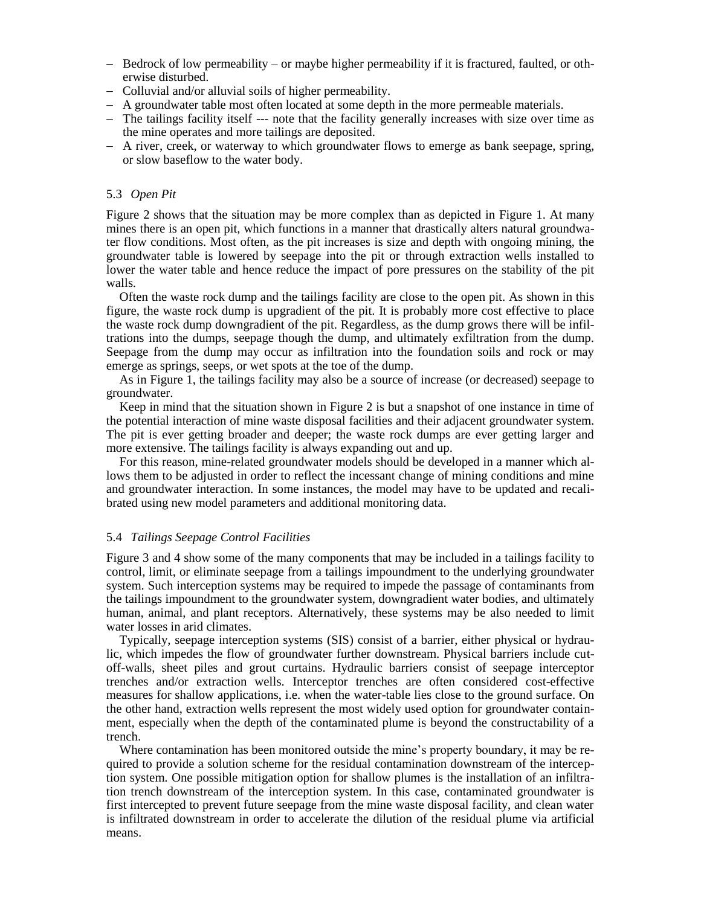- $B =$  Bedrock of low permeability or maybe higher permeability if it is fractured, faulted, or otherwise disturbed.
- Colluvial and/or alluvial soils of higher permeability.
- A groundwater table most often located at some depth in the more permeable materials.
- The tailings facility itself --- note that the facility generally increases with size over time as the mine operates and more tailings are deposited.
- A river, creek, or waterway to which groundwater flows to emerge as bank seepage, spring, or slow baseflow to the water body.

# 5.3 *Open Pit*

Figure 2 shows that the situation may be more complex than as depicted in Figure 1. At many mines there is an open pit, which functions in a manner that drastically alters natural groundwater flow conditions. Most often, as the pit increases is size and depth with ongoing mining, the groundwater table is lowered by seepage into the pit or through extraction wells installed to lower the water table and hence reduce the impact of pore pressures on the stability of the pit walls.

Often the waste rock dump and the tailings facility are close to the open pit. As shown in this figure, the waste rock dump is upgradient of the pit. It is probably more cost effective to place the waste rock dump downgradient of the pit. Regardless, as the dump grows there will be infiltrations into the dumps, seepage though the dump, and ultimately exfiltration from the dump. Seepage from the dump may occur as infiltration into the foundation soils and rock or may emerge as springs, seeps, or wet spots at the toe of the dump.

As in Figure 1, the tailings facility may also be a source of increase (or decreased) seepage to groundwater.

Keep in mind that the situation shown in Figure 2 is but a snapshot of one instance in time of the potential interaction of mine waste disposal facilities and their adjacent groundwater system. The pit is ever getting broader and deeper; the waste rock dumps are ever getting larger and more extensive. The tailings facility is always expanding out and up.

For this reason, mine-related groundwater models should be developed in a manner which allows them to be adjusted in order to reflect the incessant change of mining conditions and mine and groundwater interaction. In some instances, the model may have to be updated and recalibrated using new model parameters and additional monitoring data.

# 5.4 *Tailings Seepage Control Facilities*

Figure 3 and 4 show some of the many components that may be included in a tailings facility to control, limit, or eliminate seepage from a tailings impoundment to the underlying groundwater system. Such interception systems may be required to impede the passage of contaminants from the tailings impoundment to the groundwater system, downgradient water bodies, and ultimately human, animal, and plant receptors. Alternatively, these systems may be also needed to limit water losses in arid climates.

Typically, seepage interception systems (SIS) consist of a barrier, either physical or hydraulic, which impedes the flow of groundwater further downstream. Physical barriers include cutoff-walls, sheet piles and grout curtains. Hydraulic barriers consist of seepage interceptor trenches and/or extraction wells. Interceptor trenches are often considered cost-effective measures for shallow applications, i.e. when the water-table lies close to the ground surface. On the other hand, extraction wells represent the most widely used option for groundwater containment, especially when the depth of the contaminated plume is beyond the constructability of a trench.

Where contamination has been monitored outside the mine's property boundary, it may be required to provide a solution scheme for the residual contamination downstream of the interception system. One possible mitigation option for shallow plumes is the installation of an infiltration trench downstream of the interception system. In this case, contaminated groundwater is first intercepted to prevent future seepage from the mine waste disposal facility, and clean water is infiltrated downstream in order to accelerate the dilution of the residual plume via artificial means.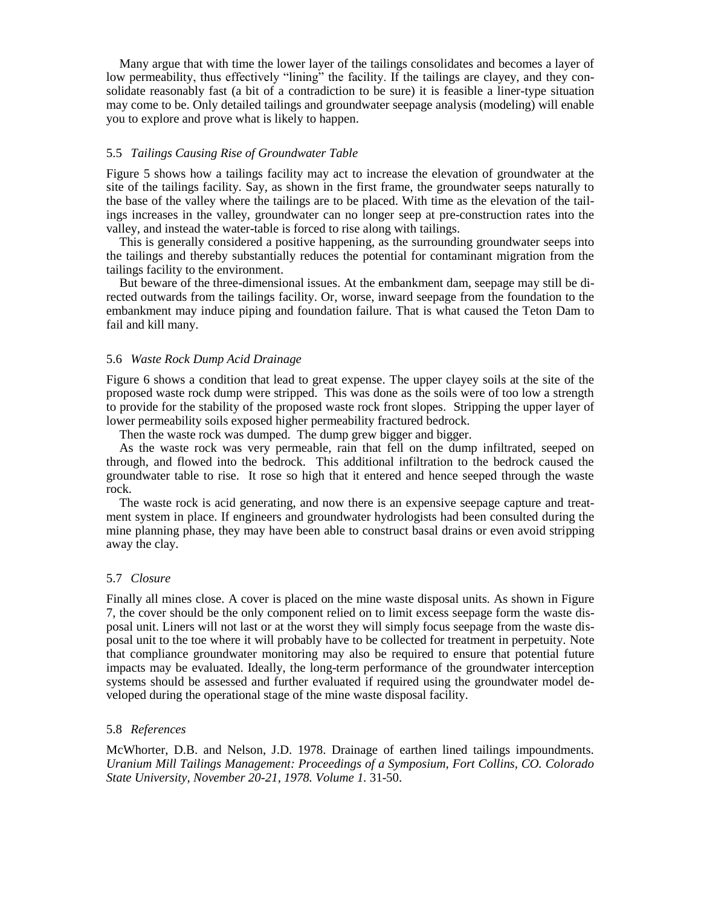Many argue that with time the lower layer of the tailings consolidates and becomes a layer of low permeability, thus effectively "lining" the facility. If the tailings are clayey, and they consolidate reasonably fast (a bit of a contradiction to be sure) it is feasible a liner-type situation may come to be. Only detailed tailings and groundwater seepage analysis (modeling) will enable you to explore and prove what is likely to happen.

#### 5.5 *Tailings Causing Rise of Groundwater Table*

Figure 5 shows how a tailings facility may act to increase the elevation of groundwater at the site of the tailings facility. Say, as shown in the first frame, the groundwater seeps naturally to the base of the valley where the tailings are to be placed. With time as the elevation of the tailings increases in the valley, groundwater can no longer seep at pre-construction rates into the valley, and instead the water-table is forced to rise along with tailings.

This is generally considered a positive happening, as the surrounding groundwater seeps into the tailings and thereby substantially reduces the potential for contaminant migration from the tailings facility to the environment.

But beware of the three-dimensional issues. At the embankment dam, seepage may still be directed outwards from the tailings facility. Or, worse, inward seepage from the foundation to the embankment may induce piping and foundation failure. That is what caused the Teton Dam to fail and kill many.

#### 5.6 *Waste Rock Dump Acid Drainage*

Figure 6 shows a condition that lead to great expense. The upper clayey soils at the site of the proposed waste rock dump were stripped. This was done as the soils were of too low a strength to provide for the stability of the proposed waste rock front slopes. Stripping the upper layer of lower permeability soils exposed higher permeability fractured bedrock.

Then the waste rock was dumped. The dump grew bigger and bigger.

As the waste rock was very permeable, rain that fell on the dump infiltrated, seeped on through, and flowed into the bedrock. This additional infiltration to the bedrock caused the groundwater table to rise. It rose so high that it entered and hence seeped through the waste rock.

The waste rock is acid generating, and now there is an expensive seepage capture and treatment system in place. If engineers and groundwater hydrologists had been consulted during the mine planning phase, they may have been able to construct basal drains or even avoid stripping away the clay.

#### 5.7 *Closure*

Finally all mines close. A cover is placed on the mine waste disposal units. As shown in Figure 7, the cover should be the only component relied on to limit excess seepage form the waste disposal unit. Liners will not last or at the worst they will simply focus seepage from the waste disposal unit to the toe where it will probably have to be collected for treatment in perpetuity. Note that compliance groundwater monitoring may also be required to ensure that potential future impacts may be evaluated. Ideally, the long-term performance of the groundwater interception systems should be assessed and further evaluated if required using the groundwater model developed during the operational stage of the mine waste disposal facility.

#### 5.8 *References*

McWhorter, D.B. and Nelson, J.D. 1978. Drainage of earthen lined tailings impoundments. *Uranium Mill Tailings Management: Proceedings of a Symposium, Fort Collins, CO. Colorado State University, November 20-21, 1978. Volume 1.* 31-50.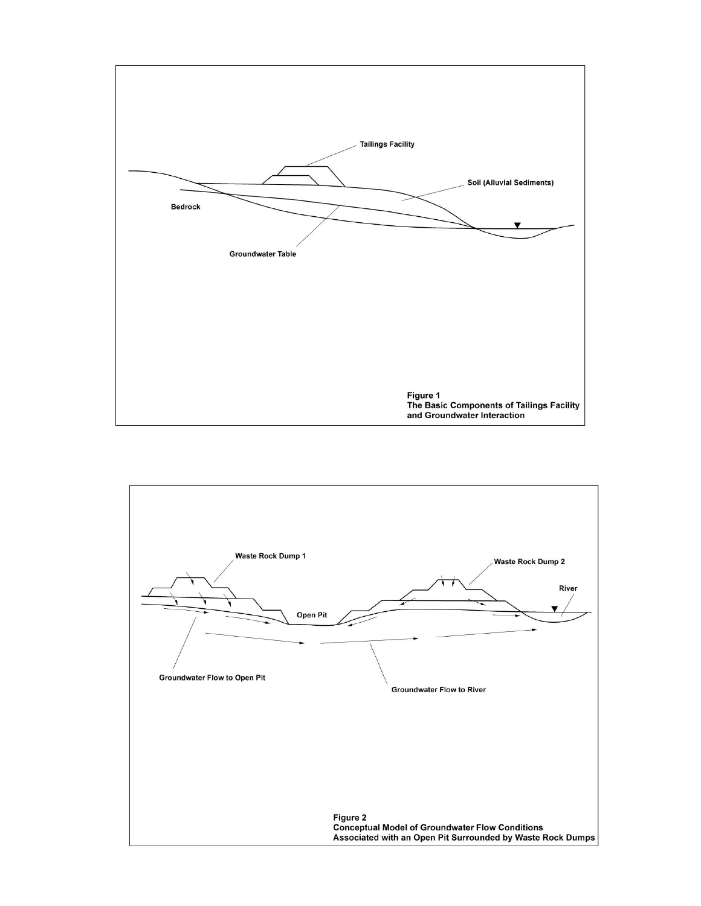

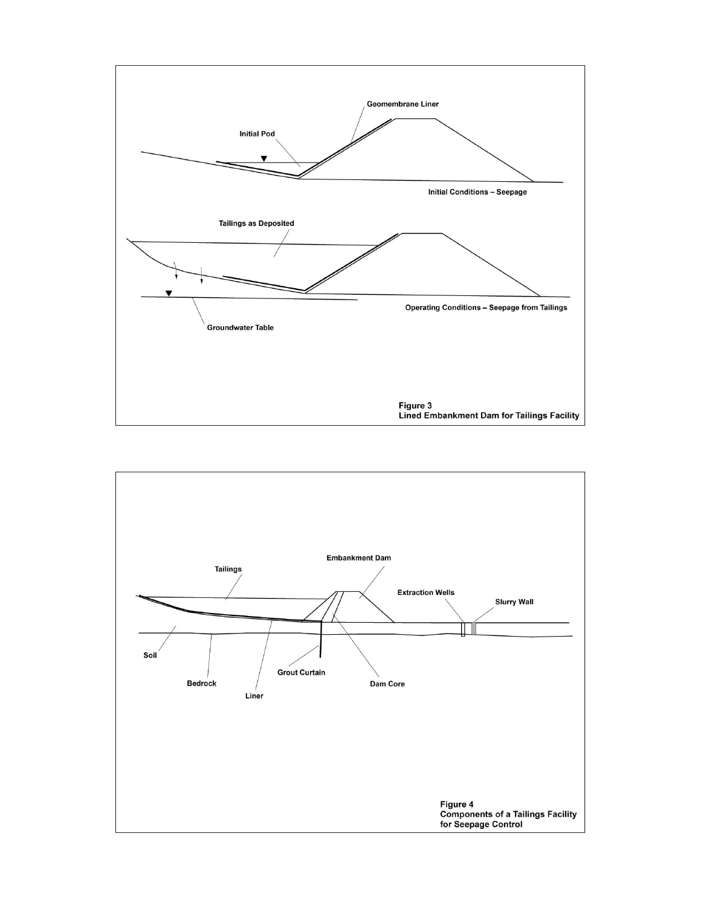

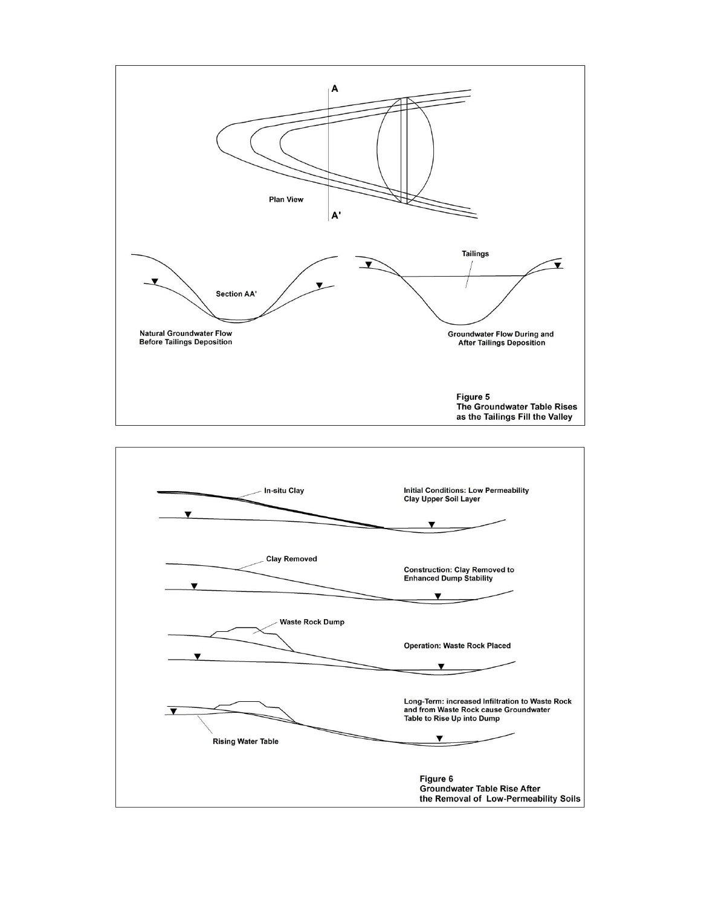

 $\blacktriangledown$ 

**Rising Water Table** 

Long-Term: increased Infiltration to Waste Rock<br>and from Waste Rock cause Groundwater<br>Table to Rise Up into Dump ▼